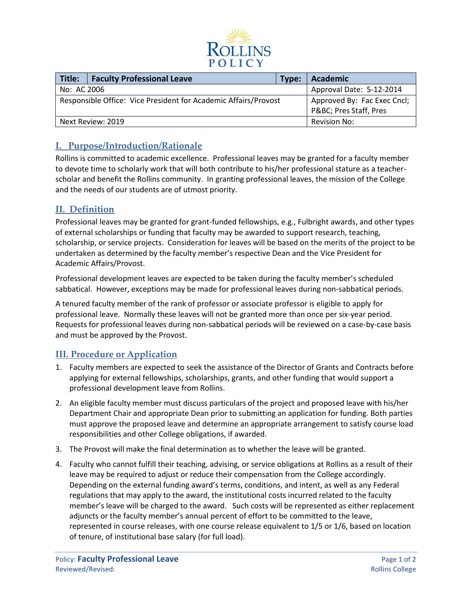

| Title:                                                          | <b>Faculty Professional Leave</b> | Type:                                                | Academic |
|-----------------------------------------------------------------|-----------------------------------|------------------------------------------------------|----------|
| No: AC 2006                                                     |                                   | Approval Date: 5-12-2014                             |          |
| Responsible Office: Vice President for Academic Affairs/Provost |                                   | Approved By: Fac Exec Cncl;<br>P&BC Pres Staff, Pres |          |
| Next Review: 2019                                               |                                   | <b>Revision No:</b>                                  |          |

## **I. Purpose/Introduction/Rationale**

Rollins is committed to academic excellence. Professional leaves may be granted for a faculty member to devote time to scholarly work that will both contribute to his/her professional stature as a teacherscholar and benefit the Rollins community. In granting professional leaves, the mission of the College and the needs of our students are of utmost priority.

## **II. Definition**

Professional leaves may be granted for grant-funded fellowships, e.g., Fulbright awards, and other types of external scholarships or funding that faculty may be awarded to support research, teaching, scholarship, or service projects. Consideration for leaves will be based on the merits of the project to be undertaken as determined by the faculty member's respective Dean and the Vice President for Academic Affairs/Provost.

Professional development leaves are expected to be taken during the faculty member's scheduled sabbatical. However, exceptions may be made for professional leaves during non-sabbatical periods.

A tenured faculty member of the rank of professor or associate professor is eligible to apply for professional leave. Normally these leaves will not be granted more than once per six-year period. Requests for professional leaves during non-sabbatical periods will be reviewed on a case-by-case basis and must be approved by the Provost.

## **III. Procedure or Application**

- 1. Faculty members are expected to seek the assistance of the Director of Grants and Contracts before applying for external fellowships, scholarships, grants, and other funding that would support a professional development leave from Rollins.
- 2. An eligible faculty member must discuss particulars of the project and proposed leave with his/her Department Chair and appropriate Dean prior to submitting an application for funding. Both parties must approve the proposed leave and determine an appropriate arrangement to satisfy course load responsibilities and other College obligations, if awarded.
- 3. The Provost will make the final determination as to whether the leave will be granted.
- 4. Faculty who cannot fulfill their teaching, advising, or service obligations at Rollins as a result of their leave may be required to adjust or reduce their compensation from the College accordingly. Depending on the external funding award's terms, conditions, and intent, as well as any Federal regulations that may apply to the award, the institutional costs incurred related to the faculty member's leave will be charged to the award. Such costs will be represented as either replacement adjuncts or the faculty member's annual percent of effort to be committed to the leave, represented in course releases, with one course release equivalent to 1/5 or 1/6, based on location of tenure, of institutional base salary (for full load).